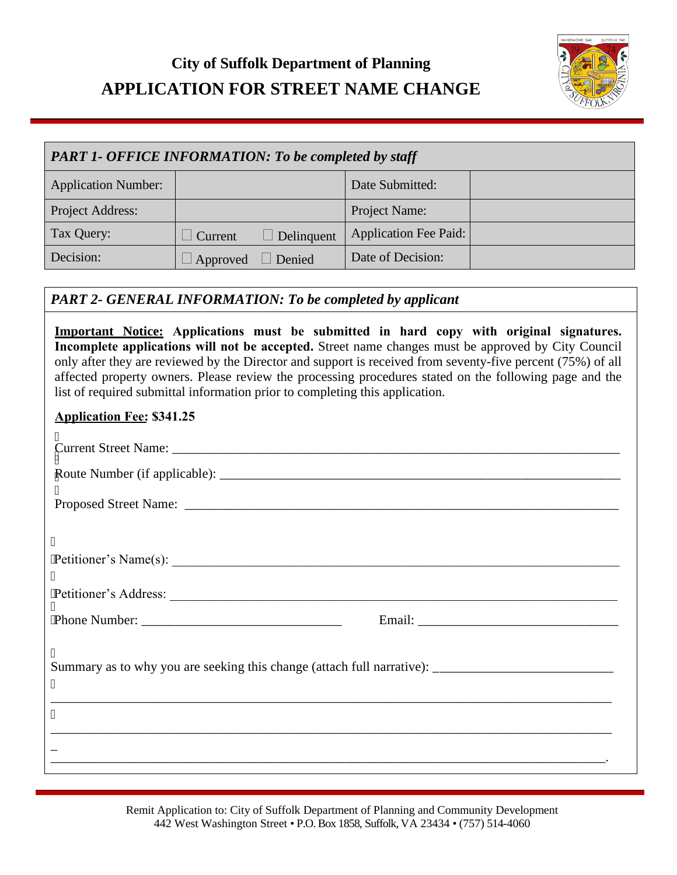## **City of Suffolk Department of Planning APPLICATION FOR STREET NAME CHANGE**



| <b>PART 1- OFFICE INFORMATION: To be completed by staff</b> |                 |            |                              |  |
|-------------------------------------------------------------|-----------------|------------|------------------------------|--|
| <b>Application Number:</b>                                  |                 |            | Date Submitted:              |  |
| Project Address:                                            |                 |            | Project Name:                |  |
| Tax Query:                                                  | $\perp$ Current | Delinquent | <b>Application Fee Paid:</b> |  |
| Decision:                                                   | Approved        | Denied     | Date of Decision:            |  |

## *PART 2- GENERAL INFORMATION: To be completed by applicant*

**Important Notice: Applications must be submitted in hard copy with original signatures. Incomplete applications will not be accepted.** Street name changes must be approved by City Council only after they are reviewed by the Director and support is received from seventy-five percent (75%) of all affected property owners. Please review the processing procedures stated on the following page and the list of required submittal information prior to completing this application. **Application Fee: \$341.25**  $\overline{\phantom{a}}$  $\text{Current Street Name:}\n$  $\mathbf{I}$ Ì Route Number (if applicable): \_\_\_\_\_\_\_\_\_\_\_\_\_\_\_\_\_\_\_\_\_\_\_\_\_\_\_\_\_\_\_\_\_\_\_\_\_\_\_\_\_\_\_\_\_\_\_\_\_\_\_\_\_\_\_\_\_\_\_\_  $\overline{\phantom{a}}$ Proposed Street Name: \_\_\_\_\_\_\_\_\_\_\_\_\_\_\_\_\_\_\_\_\_\_\_\_\_\_\_\_\_\_\_\_\_\_\_\_\_\_\_\_\_\_\_\_\_\_\_\_\_\_\_\_\_\_\_\_\_\_\_\_\_\_\_\_\_ ľ Petitioner's Name(s): \_\_\_\_\_\_\_\_\_\_\_\_\_\_\_\_\_\_\_\_\_\_\_\_\_\_\_\_\_\_\_\_\_\_\_\_\_\_\_\_\_\_\_\_\_\_\_\_\_\_\_\_\_\_\_\_\_\_\_\_\_\_\_\_\_\_\_ ľ Petitioner's Address: \_\_\_\_\_\_\_\_\_\_\_\_\_\_\_\_\_\_\_\_\_\_\_\_\_\_\_\_\_\_\_\_\_\_\_\_\_\_\_\_\_\_\_\_\_\_\_\_\_\_\_\_\_\_\_\_\_\_\_\_\_\_\_\_\_\_\_ ľ Phone Number: \_\_\_\_\_\_\_\_\_\_\_\_\_\_\_\_\_\_\_\_\_\_\_\_\_\_\_\_\_\_ Email: \_\_\_\_\_\_\_\_\_\_\_\_\_\_\_\_\_\_\_\_\_\_\_\_\_\_\_\_\_\_ ľ Summary as to why you are seeking this change (attach full narrative): \_\_\_\_\_\_\_\_\_\_\_\_\_\_\_\_\_\_\_\_\_\_\_\_\_\_\_\_  $\mathbf{u}$ \_\_\_\_\_\_\_\_\_\_\_\_\_\_\_\_\_\_\_\_\_\_\_\_\_\_\_\_\_\_\_\_\_\_\_\_\_\_\_\_\_\_\_\_\_\_\_\_\_\_\_\_\_\_\_\_\_\_\_\_\_\_\_\_\_\_\_\_\_\_\_\_\_\_\_\_\_\_\_\_\_\_\_\_ ľ \_\_\_\_\_\_\_\_\_\_\_\_\_\_\_\_\_\_\_\_\_\_\_\_\_\_\_\_\_\_\_\_\_\_\_\_\_\_\_\_\_\_\_\_\_\_\_\_\_\_\_\_\_\_\_\_\_\_\_\_\_\_\_\_\_\_\_\_\_\_\_\_\_\_\_\_\_\_\_\_\_\_\_\_ \_ \_\_\_\_\_\_\_\_\_\_\_\_\_\_\_\_\_\_\_\_\_\_\_\_\_\_\_\_\_\_\_\_\_\_\_\_\_\_\_\_\_\_\_\_\_\_\_\_\_\_\_\_\_\_\_\_\_\_\_\_\_\_\_\_\_\_\_\_\_\_\_\_\_\_\_\_\_\_\_\_\_\_\_.

> Remit Application to: City of Suffolk Department of Planning and Community Development 442 West Washington Street • P.O. Box 1858, Suffolk, VA 23434 • (757) 514-4060